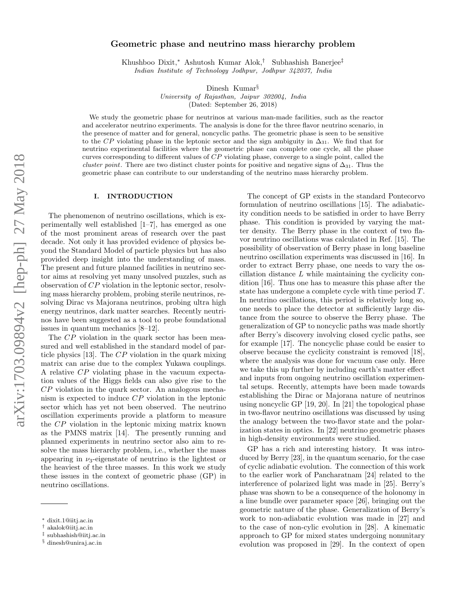# Geometric phase and neutrino mass hierarchy problem

Khushboo Dixit,<sup>∗</sup> Ashutosh Kumar Alok,† Subhashish Banerjee‡ *Indian Institute of Technology Jodhpur, Jodhpur 342037, India*

Dinesh Kumar<sup>§</sup>

*University of Rajasthan, Jaipur 302004, India* (Dated: September 26, 2018)

We study the geometric phase for neutrinos at various man-made facilities, such as the reactor and accelerator neutrino experiments. The analysis is done for the three flavor neutrino scenario, in the presence of matter and for general, noncyclic paths. The geometric phase is seen to be sensitive to the CP violating phase in the leptonic sector and the sign ambiguity in  $\Delta_{31}$ . We find that for neutrino experimental facilities where the geometric phase can complete one cycle, all the phase curves corresponding to different values of CP violating phase, converge to a single point, called the *cluster point*. There are two distinct cluster points for positive and negative signs of  $\Delta_{31}$ . Thus the geometric phase can contribute to our understanding of the neutrino mass hierarchy problem.

### I. INTRODUCTION

The phenomenon of neutrino oscillations, which is experimentally well established [1–7], has emerged as one of the most prominent areas of research over the past decade. Not only it has provided evidence of physics beyond the Standard Model of particle physics but has also provided deep insight into the understanding of mass. The present and future planned facilities in neutrino sector aims at resolving yet many unsolved puzzles, such as observation of CP violation in the leptonic sector, resolving mass hierarchy problem, probing sterile neutrinos, resolving Dirac vs Majorana neutrinos, probing ultra high energy neutrinos, dark matter searches. Recently neutrinos have been suggested as a tool to probe foundational issues in quantum mechanics [8–12].

The CP violation in the quark sector has been measured and well established in the standard model of particle physics [13]. The CP violation in the quark mixing matrix can arise due to the complex Yukawa couplings. A relative CP violating phase in the vacuum expectation values of the Higgs fields can also give rise to the CP violation in the quark sector. An analogous mechanism is expected to induce CP violation in the leptonic sector which has yet not been observed. The neutrino oscillation experiments provide a platform to measure the CP violation in the leptonic mixing matrix known as the PMNS matrix [14]. The presently running and planned experiments in neutrino sector also aim to resolve the mass hierarchy problem, i.e., whether the mass appearing in  $\nu_3$ -eigenstate of neutrino is the lightest or the heaviest of the three masses. In this work we study these issues in the context of geometric phase (GP) in neutrino oscillations.

The concept of GP exists in the standard Pontecorvo formulation of neutrino oscillations [15]. The adiabaticity condition needs to be satisfied in order to have Berry phase. This condition is provided by varying the matter density. The Berry phase in the context of two flavor neutrino oscillations was calculated in Ref. [15]. The possibility of observation of Berry phase in long baseline neutrino oscillation experiments was discussed in [16]. In order to extract Berry phase, one needs to vary the oscillation distance  $L$  while maintaining the cyclicity condition [16]. Thus one has to measure this phase after the state has undergone a complete cycle with time period T. In neutrino oscillations, this period is relatively long so, one needs to place the detector at sufficiently large distance from the source to observe the Berry phase. The generalization of GP to noncyclic paths was made shortly after Berry's discovery involving closed cyclic paths, see for example [17]. The noncyclic phase could be easier to observe because the cyclicity constraint is removed [18], where the analysis was done for vacuum case only. Here we take this up further by including earth's matter effect and inputs from ongoing neutrino oscillation experimental setups. Recently, attempts have been made towards establishing the Dirac or Majorana nature of neutrinos using noncyclic GP [19, 20]. In [21] the topological phase in two-flavor neutrino oscillations was discussed by using the analogy between the two-flavor state and the polarization states in optics. In [22] neutrino geometric phases in high-density environments were studied.

GP has a rich and interesting history. It was introduced by Berry [23], in the quantum scenario, for the case of cyclic adiabatic evolution. The connection of this work to the earlier work of Pancharatnam [24] related to the interference of polarized light was made in [25]. Berry's phase was shown to be a consequence of the holonomy in a line bundle over parameter space [26], bringing out the geometric nature of the phase. Generalization of Berry's work to non-adiabatic evolution was made in [27] and to the case of non-cylic evolution in [28]. A kinematic approach to GP for mixed states undergoing nonunitary evolution was proposed in [29]. In the context of open

<sup>∗</sup> dixit.1@iitj.ac.in

<sup>†</sup> akalok@iitj.ac.in

<sup>‡</sup> subhashish@iitj.ac.in

<sup>§</sup> dinesh@uniraj.ac.in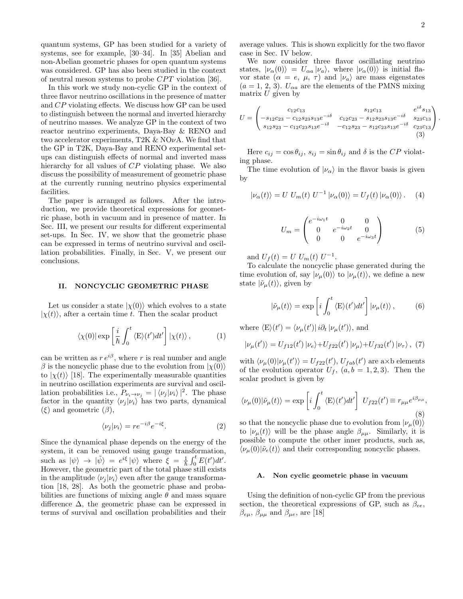quantum systems, GP has been studied for a variety of systems, see for example, [30–34]. In [35] Abelian and non-Abelian geometric phases for open quantum systems was considered. GP has also been studied in the context of neutral meson systems to probe  $CPT$  violation [36].

In this work we study non-cyclic GP in the context of three flavor neutrino oscillations in the presence of matter and CP violating effects. We discuss how GP can be used to distinguish between the normal and inverted hierarchy of neutrino masses. We analyze GP in the context of two reactor neutrino experiments, Daya-Bay & RENO and two accelerator experiments, T2K  $& NOvA$ . We find that the GP in T2K, Daya-Bay and RENO experimental setups can distinguish effects of normal and inverted mass hierarchy for all values of CP violating phase. We also discuss the possibility of measurement of geometric phase at the currently running neutrino physics experimental facilities.

The paper is arranged as follows. After the introduction, we provide theoretical expressions for geometric phase, both in vacuum and in presence of matter. In Sec. III, we present our results for different experimental set-ups. In Sec. IV, we show that the geometric phase can be expressed in terms of neutrino survival and oscillation probabilities. Finally, in Sec. V, we present our conclusions.

### II. NONCYCLIC GEOMETRIC PHASE

Let us consider a state  $|\chi(0)\rangle$  which evolves to a state  $|\chi(t)\rangle$ , after a certain time t. Then the scalar product

$$
\langle \chi(0) | \exp\left[\frac{i}{\hbar} \int_0^t \langle E \rangle(t') dt'\right] | \chi(t) \rangle, \qquad (1)
$$

can be written as  $r e^{i\beta}$ , where r is real number and angle β is the noncyclic phase due to the evolution from  $\ket{\chi(0)}$ to  $|\chi(t)\rangle$  [18]. The experimentally measurable quantities in neutrino oscillation experiments are survival and oscillation probabilities i.e.,  $P_{\nu_i \to \nu_j} = |\langle \nu_j | \nu_i \rangle|^2$ . The phase factor in the quantity  $\langle \nu_j | \nu_i \rangle$  has two parts, dynamical  $(\xi)$  and geometric  $(\beta)$ ,

$$
\langle \nu_j | \nu_i \rangle = r e^{-i\beta} e^{-i\xi}.
$$
 (2)

Since the dynamical phase depends on the energy of the system, it can be removed using gauge transformation, such as  $|\psi\rangle \rightarrow |\tilde{\psi}\rangle = e^{i\xi} |\psi\rangle$  where  $\xi = \frac{1}{\hbar} \int_0^t E(t') dt'$ . However, the geometric part of the total phase still exists in the amplitude  $\langle \nu_i | \nu_i \rangle$  even after the gauge transformation [18, 28]. As both the geometric phase and probabilities are functions of mixing angle  $\theta$  and mass square difference  $\Delta$ , the geometric phase can be expressed in terms of survival and oscillation probabilities and their

average values. This is shown explicitly for the two flavor case in Sec. IV below.

We now consider three flavor oscillating neutrino states,  $|\nu_{\alpha}(0)\rangle = U_{\alpha a} |\nu_{a}\rangle$ , where  $|\nu_{\alpha}(0)\rangle$  is initial flavor state  $(\alpha = e, \mu, \tau)$  and  $|\nu_a\rangle$  are mass eigenstates  $(a = 1, 2, 3)$ .  $U_{\alpha a}$  are the elements of the PMNS mixing matrix  $U$  given by

$$
U = \begin{pmatrix} c_{12}c_{13} & s_{12}c_{13} & e^{i\delta}s_{13} \\ -s_{12}c_{23} - c_{12}s_{23}s_{13}e^{-i\delta} & c_{12}c_{23} - s_{12}s_{23}s_{13}e^{-i\delta} & s_{23}c_{13} \\ s_{12}s_{23} - c_{12}c_{23}s_{13}e^{-i\delta} & -c_{12}s_{23} - s_{12}c_{23}s_{13}e^{-i\delta} & c_{23}c_{13} \\ \end{pmatrix}.
$$
\n(3)

Here  $c_{ij} = \cos \theta_{ij}$ ,  $s_{ij} = \sin \theta_{ij}$  and  $\delta$  is the CP violating phase.

The time evolution of  $|\nu_{\alpha}\rangle$  in the flavor basis is given by

$$
|\nu_{\alpha}(t)\rangle = U U_m(t) U^{-1} |\nu_{\alpha}(0)\rangle = U_f(t) |\nu_{\alpha}(0)\rangle. \quad (4)
$$

$$
U_m = \begin{pmatrix} e^{-i\omega_1 t} & 0 & 0\\ 0 & e^{-i\omega_2 t} & 0\\ 0 & 0 & e^{-i\omega_3 t} \end{pmatrix}
$$
 (5)

and  $U_f(t) = U U_m(t) U^{-1}$ .

To calculate the noncyclic phase generated during the time evolution of, say  $|\nu_{\mu}(0)\rangle$  to  $|\nu_{\mu}(t)\rangle$ , we define a new state  $|\tilde{\nu}_{\mu}(t)\rangle$ , given by

$$
|\tilde{\nu}_{\mu}(t)\rangle = \exp\left[i\int_0^t \langle E\rangle(t')dt'\right]|\nu_{\mu}(t)\rangle, \qquad (6)
$$

where  $\langle E \rangle(t') = \langle \nu_\mu(t') | i \partial_t | \nu_\mu(t') \rangle$ , and

$$
|\nu_{\mu}(t')\rangle = U_{f12}(t') |\nu_{e}\rangle + U_{f22}(t') |\nu_{\mu}\rangle + U_{f32}(t') |\nu_{\tau}\rangle, (7)
$$

with  $\langle \nu_{\mu}(0)|\nu_{\mu}(t')\rangle = U_{f22}(t'), U_{fab}(t')$  are a×b elements of the evolution operator  $U_f$ ,  $(a, b = 1, 2, 3)$ . Then the scalar product is given by

$$
\langle \nu_{\mu}(0)|\tilde{\nu}_{\mu}(t)\rangle = \exp\left[i\int_0^t \langle E\rangle(t')dt'\right] U_{f22}(t') \equiv r_{\mu\mu}e^{i\beta_{\mu\mu}},\tag{8}
$$

so that the noncyclic phase due to evolution from  $|\nu_{\mu}(0)\rangle$ to  $|\nu_{\mu}(t)\rangle$  will be the phase angle  $\beta_{\mu\mu}$ . Similarly, it is possible to compute the other inner products, such as,  $\langle \nu_{\mu}(0)|\tilde{\nu}_{e}(t)\rangle$  and their corresponding noncyclic phases.

#### A. Non cyclic geometric phase in vacuum

Using the definition of non-cyclic GP from the previous section, the theoretical expressions of GP, such as  $\beta_{ee}$ ,  $\beta_{e\mu}$ ,  $\beta_{\mu\mu}$  and  $\beta_{\mu e}$ , are [18]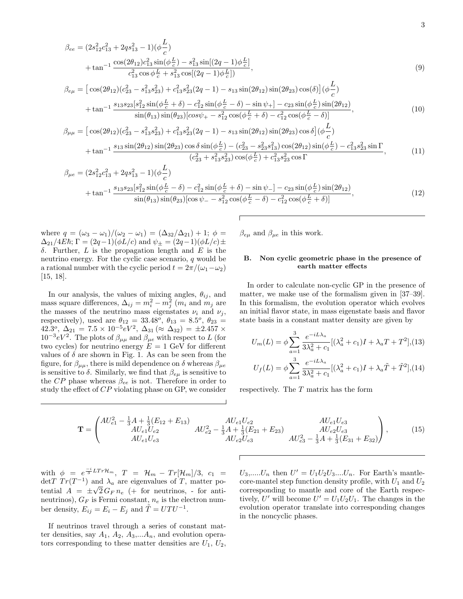$$
\beta_{ee} = (2s_{12}^2 c_{13}^2 + 2qs_{13}^2 - 1)(\phi \frac{L}{c}) \n+ \tan^{-1} \frac{\cos(2\theta_{12})c_{13}^2 \sin(\phi \frac{L}{c}) - s_{13}^2 \sin[(2q - 1)\phi \frac{L}{c}]}{c_{13}^2 \cos \phi \frac{L}{c} + s_{13}^2 \cos[(2q - 1)\phi \frac{L}{c}])},
$$
\n
$$
\beta_{e\mu} = [\cos(2\theta_{12})(c_{23}^2 - s_{13}^2 s_{23}^2) + c_{13}^2 s_{23}^2 (2q - 1) - s_{13} \sin(2\theta_{12}) \sin(2\theta_{23}) \cos(\delta)] (\phi \frac{L}{c}) \n+ \tan^{-1} \frac{s_{13}s_{23}[s_{12}^2 \sin(\phi \frac{L}{c} + \delta) - c_{12}^2 \sin(\phi \frac{L}{c} - \delta) - \sin \psi_{+}] - c_{23} \sin(\phi \frac{L}{c}) \sin(2\theta_{12})
$$
\n(10)

$$
+\tan^{-1}\frac{s_{13}s_{23}[s_{12}^2\sin(\phi\frac{L}{c}+\delta)-c_{12}^2\sin(\phi\frac{L}{c}-\delta)-\sin\psi_+]-c_{23}\sin(\phi\frac{L}{c})\sin(2\theta_{12})}{\sin(\theta_{13})\sin(\theta_{23})[\cos\psi_+-s_{12}^2\cos(\phi\frac{L}{c}+\delta)-c_{12}^2\cos(\phi\frac{L}{c}-\delta)]},\tag{10}
$$

$$
\beta_{\mu\mu} = \left[ \cos(2\theta_{12})(c_{23}^2 - s_{13}^2 s_{23}^2) + c_{13}^2 s_{23}^2 (2q - 1) - s_{13} \sin(2\theta_{12}) \sin(2\theta_{23}) \cos \delta \right] (\phi \frac{\mu}{c}) \n+ \tan^{-1} \frac{s_{13} \sin(2\theta_{12}) \sin(2\theta_{23}) \cos \delta \sin(\phi \frac{\mu}{c}) - (c_{23}^2 - s_{23}^2 s_{13}^2) \cos(2\theta_{12}) \sin(\phi \frac{\mu}{c}) - c_{13}^2 s_{23}^2 \sin \Gamma}{(c_{23}^2 + s_{13}^2 s_{23}^2) \cos(\phi \frac{\mu}{c}) + c_{13}^2 s_{23}^2 \cos \Gamma}, \tag{11}
$$

$$
\beta_{\mu e} = (2s_{12}^2 c_{13}^2 + 2qs_{13}^2 - 1)(\phi \frac{L}{c}) \n+ \tan^{-1} \frac{s_{13}s_{23}[s_{12}^2 \sin(\phi \frac{L}{c} - \delta) - c_{12}^2 \sin(\phi \frac{L}{c} + \delta) - \sin \psi_{-}] - c_{23} \sin(\phi \frac{L}{c}) \sin(2\theta_{12}) \n\sin(\theta_{13}) \sin(\theta_{23})[\cos \psi_{-} - s_{12}^2 \cos(\phi \frac{L}{c} - \delta) - c_{12}^2 \cos(\phi \frac{L}{c} + \delta)]
$$
\n(12)

where  $q = (\omega_3 - \omega_1)/(\omega_2 - \omega_1) = (\Delta_{32}/\Delta_{21}) + 1; \phi =$  $\Delta_{21}/4E\hbar; \Gamma = (2q-1)(\phi L/c)$  and  $\psi_{\pm} = (2q-1)(\phi L/c) \pm$ δ. Further, L is the propagation length and E is the neutrino energy. For the cyclic case scenario, q would be a rational number with the cyclic period  $t = 2\pi/(\omega_1 - \omega_2)$ [15, 18].

In our analysis, the values of mixing angles,  $\theta_{ij}$ , and mass square differences,  $\Delta_{ij} = m_i^2 - m_j^2$  ( $m_i$  and  $m_j$  are the masses of the neutrino mass eigenstates  $\nu_i$  and  $\nu_j$ , respectively), used are  $\theta_{12} = 33.48^{\circ}$ ,  $\theta_{13} = 8.5^{\circ}$ ,  $\theta_{23} =$  $42.3^\circ$ ,  $\Delta_{21} = 7.5 \times 10^{-5} eV^2$ ,  $\Delta_{31} (\approx \Delta_{32}) = \pm 2.457 \times 10^{-5} eV^2$  $10^{-3} eV^2$ . The plots of  $\beta_{\mu\mu}$  and  $\beta_{\mu e}$  with respect to L (for two cycles) for neutrino energy  $E = 1$  GeV for different values of  $\delta$  are shown in Fig. 1. As can be seen from the figure, for  $\beta_{\mu\mu}$ , there is mild dependence on  $\delta$  whereas  $\beta_{\mu e}$ is sensitive to  $\delta$ . Similarly, we find that  $\beta_{e\mu}$  is sensitive to the  $CP$  phase whereas  $\beta_{ee}$  is not. Therefore in order to study the effect of CP violating phase on GP, we consider

 $\beta_{e\mu}$  and  $\beta_{\mu e}$  in this work.

## B. Non cyclic geometric phase in the presence of earth matter effects

In order to calculate non-cyclic GP in the presence of matter, we make use of the formalism given in [37–39]. In this formalism, the evolution operator which evolves an initial flavor state, in mass eigenstate basis and flavor state basis in a constant matter density are given by

$$
U_m(L) = \phi \sum_{a=1}^3 \frac{e^{-iL\lambda_a}}{3\lambda_a^2 + c_1} [(\lambda_a^2 + c_1)I + \lambda_a T + T^2], (13)
$$

$$
U_f(L) = \phi \sum_{a=1}^3 \frac{e^{-iL\lambda_a}}{3\lambda_a^2 + c_1} [(\lambda_a^2 + c_1)I + \lambda_a \tilde{T} + \tilde{T}^2], (14)
$$

respectively. The T matrix has the form

$$
\mathbf{T} = \begin{pmatrix} AU_{e1}^2 - \frac{1}{3}A + \frac{1}{3}(E_{12} + E_{13}) & AU_{e1}U_{e2} & AU_{e1}U_{e3} \\ AU_{e1}U_{e2} & AU_{e2} - \frac{1}{3}A + \frac{1}{3}(E_{21} + E_{23}) & AU_{e2}U_{e3} \\ AU_{e1}U_{e3} & AU_{e2}U_{e3} & AU_{e2}^2 - \frac{1}{3}A + \frac{1}{3}(E_{31} + E_{32}) \end{pmatrix},
$$
(15)

with  $\phi = e^{\frac{-i}{3}LTr\mathcal{H}_m}$ ,  $T = \mathcal{H}_m - Tr[\mathcal{H}_m]/3$ ,  $c_1 =$ det T  $Tr(T^{-1})$  and  $\lambda_a$  are eigenvalues of T, matter potential  $A = \pm \sqrt{2} G_F n_e$  (+ for neutrinos, - for antineutrinos),  $G_F$  is Fermi constant,  $n_e$  is the electron number density,  $E_{ij} = E_i - E_j$  and  $\tilde{T} = U T U^{-1}$ .

If neutrinos travel through a series of constant matter densities, say  $A_1$ ,  $A_2$ ,  $A_3$ ,... $A_n$ , and evolution operators corresponding to these matter densities are  $U_1, U_2$ ,

 $U_3, \dots, U_n$  then  $U' = U_1 U_2 U_3 \dots U_n$ . For Earth's mantlecore-mantel step function density profile, with  $U_1$  and  $U_2$ corresponding to mantle and core of the Earth respectively, U' will become  $U' = U_1 U_2 U_1$ . The changes in the evolution operator translate into corresponding changes in the noncyclic phases.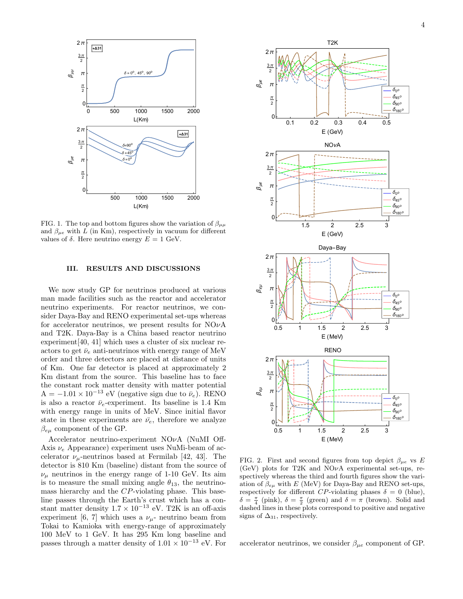

FIG. 1. The top and bottom figures show the variation of  $\beta_{\mu\mu}$ and  $\beta_{\mu e}$  with L (in Km), respectively in vacuum for different values of δ. Here neutrino energy  $E = 1$  GeV.

#### III. RESULTS AND DISCUSSIONS

We now study GP for neutrinos produced at various man made facilities such as the reactor and accelerator neutrino experiments. For reactor neutrinos, we consider Daya-Bay and RENO experimental set-ups whereas for accelerator neutrinos, we present results for  $NO\nu A$ and T2K. Daya-Bay is a China based reactor neutrino experiment[40, 41] which uses a cluster of six nuclear reactors to get  $\bar{\nu}_e$  anti-neutrinos with energy range of MeV order and three detectors are placed at distance of units of Km. One far detector is placed at approximately 2 Km distant from the source. This baseline has to face the constant rock matter density with matter potential  $A = -1.01 \times 10^{-13}$  eV (negative sign due to  $\bar{\nu}_e$ ). RENO is also a reactor  $\bar{\nu}_e$ -experiment. Its baseline is 1.4 Km with energy range in units of MeV. Since initial flavor state in these experiments are  $\bar{\nu_e}$ , therefore we analyze  $\beta_{eu}$  component of the GP.

Accelerator neutrino-experiment NOνA (NuMI Off-Axis  $\nu_e$  Appearance) experiment uses NuMi-beam of accelerator  $\nu_{\mu}$ -neutrinos based at Fermilab [42, 43]. The detector is 810 Km (baseline) distant from the source of  $\nu_{\mu}$  neutrinos in the energy range of 1-10 GeV. Its aim is to measure the small mixing angle  $\theta_{13}$ , the neutrinomass hierarchy and the CP-violating phase. This baseline passes through the Earth's crust which has a constant matter density  $1.7 \times 10^{-13}$  eV. T2K is an off-axis experiment [6, 7] which uses a  $\nu_{\mu}$ - neutrino beam from Tokai to Kamioka with energy-range of approximately 100 MeV to 1 GeV. It has 295 Km long baseline and passes through a matter density of  $1.01 \times 10^{-13}$  eV. For



FIG. 2. First and second figures from top depict  $\beta_{\mu e}$  vs E (GeV) plots for T2K and  $NO\nu A$  experimental set-ups, respectively whereas the third and fourth figures show the variation of  $\beta_{e\mu}$  with E (MeV) for Daya-Bay and RENO set-ups, respectively for different CP-violating phases  $\delta = 0$  (blue),  $\delta = \frac{\pi}{4}$  (pink),  $\delta = \frac{\pi}{2}$  (green) and  $\delta = \pi$  (brown). Solid and dashed lines in these plots correspond to positive and negative signs of  $\Delta_{31}$ , respectively.

accelerator neutrinos, we consider  $\beta_{\mu e}$  component of GP.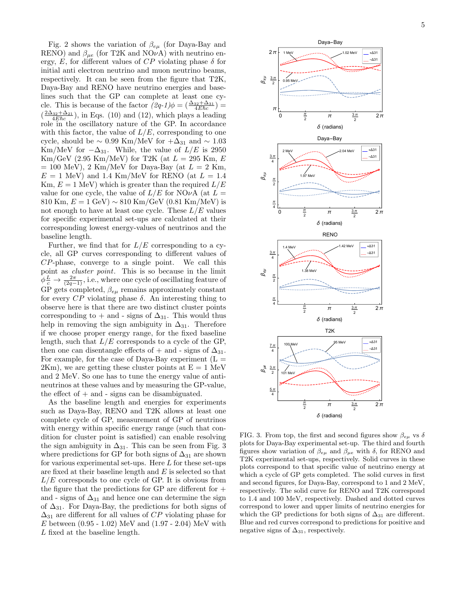Fig. 2 shows the variation of  $\beta_{e\mu}$  (for Daya-Bay and RENO) and  $\beta_{\mu e}$  (for T2K and NO $\nu$ A) with neutrino energy, E, for different values of  $CP$  violating phase  $\delta$  for initial anti electron neutrino and muon neutrino beams, respectively. It can be seen from the figure that T2K, Daya-Bay and RENO have neutrino energies and baselines such that the GP can complete at least one cycle. This is because of the factor  $(2q-1)\phi = \left(\frac{\Delta_{32} + \Delta_{31}}{4E\hbar c}\right)$  $(\frac{2\Delta_{32}+\Delta_{21}}{4E\hbar c})$ , in Eqs. (10) and (12), which plays a leading role in the oscillatory nature of the GP. In accordance with this factor, the value of  $L/E$ , corresponding to one cycle, should be  $\sim 0.99$  Km/MeV for  $+\Delta_{31}$  and  $\sim 1.03$ Km/MeV for  $-\Delta_{31}$ . While, the value of  $L/E$  is 2950  $\text{Km/GeV}$  (2.95 Km/MeV) for T2K (at  $L = 295$  Km, E  $= 100$  MeV), 2 Km/MeV for Daya-Bay (at  $L = 2$  Km,  $E = 1$  MeV) and 1.4 Km/MeV for RENO (at  $L = 1.4$ Km,  $E = 1$  MeV) which is greater than the required  $L/E$ value for one cycle, the value of  $L/E$  for NO $\nu$ A (at  $L =$ 810 Km,  $E = 1$  GeV) ~ 810 Km/GeV (0.81 Km/MeV) is not enough to have at least one cycle. These  $L/E$  values for specific experimental set-ups are calculated at their corresponding lowest energy-values of neutrinos and the baseline length.

Further, we find that for  $L/E$  corresponding to a cycle, all GP curves corresponding to different values of CP-phase, converge to a single point. We call this point as cluster point. This is so because in the limit  $\overline{\phi}^{\frac{L}{c}} \to \frac{2\pi}{(2q-1)}$ , i.e., where one cycle of oscillating feature of GP gets completed,  $\beta_{e\mu}$  remains approximately constant for every  $CP$  violating phase  $\delta$ . An interesting thing to observe here is that there are two distinct cluster points corresponding to + and - signs of  $\Delta_{31}$ . This would thus help in removing the sign ambiguity in  $\Delta_{31}$ . Therefore if we choose proper energy range, for the fixed baseline length, such that  $L/E$  corresponds to a cycle of the GP, then one can disentangle effects of  $+$  and - signs of  $\Delta_{31}$ . For example, for the case of Daya-Bay experiment  $(L =$  $2 \text{Km}$ , we are getting these cluster points at  $E = 1 \text{ MeV}$ and 2 MeV. So one has to tune the energy value of antineutrinos at these values and by measuring the GP-value, the effect of  $+$  and  $-$  signs can be disambiguated.

As the baseline length and energies for experiments such as Daya-Bay, RENO and T2K allows at least one complete cycle of GP, measurement of GP of neutrinos with energy within specific energy range (such that condition for cluster point is satisfied) can enable resolving the sign ambiguity in  $\Delta_{31}$ . This can be seen from Fig. 3 where predictions for GP for both signs of  $\Delta_{31}$  are shown for various experimental set-ups. Here  $L$  for these set-ups are fixed at their baseline length and E is selected so that  $L/E$  corresponds to one cycle of GP. It is obvious from the figure that the predictions for  $GP$  are different for  $+$ and - signs of  $\Delta_{31}$  and hence one can determine the sign of  $\Delta_{31}$ . For Daya-Bay, the predictions for both signs of  $\Delta_{31}$  are different for all values of  $CP$  violating phase for  $E$  between  $(0.95 - 1.02)$  MeV and  $(1.97 - 2.04)$  MeV with L fixed at the baseline length.



FIG. 3. From top, the first and second figures show  $\beta_{e\mu}$  vs  $\delta$ plots for Daya-Bay experimental set-up. The third and fourth figures show variation of  $\beta_{e\mu}$  and  $\beta_{\mu e}$  with  $\delta$ , for RENO and T2K experimental set-ups, respectively. Solid curves in these plots correspond to that specific value of neutrino energy at which a cycle of GP gets completed. The solid curves in first and second figures, for Daya-Bay, correspond to 1 and 2 MeV, respectively. The solid curve for RENO and T2K correspond to 1.4 and 100 MeV, respectively. Dashed and dotted curves correspond to lower and upper limits of neutrino energies for which the GP predictions for both signs of  $\Delta_{31}$  are different. Blue and red curves correspond to predictions for positive and negative signs of  $\Delta_{31}$ , respectively.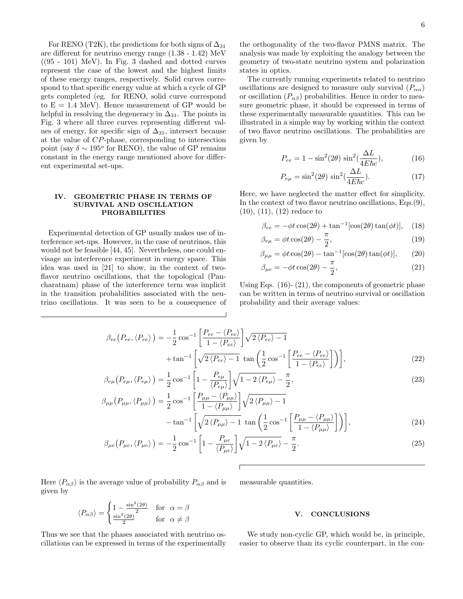For RENO (T2K), the predictions for both signs of  $\Delta_{31}$ are different for neutrino energy range (1.38 - 1.42) MeV  $((95 - 101) \text{ MeV})$ . In Fig. 3 dashed and dotted curves represent the case of the lowest and the highest limits of these energy ranges, respectively. Solid curves correspond to that specific energy value at which a cycle of GP gets completed (eg. for RENO, solid curve correspond to  $E = 1.4$  MeV). Hence measurement of GP would be helpful in resolving the degeneracy in  $\Delta_{31}$ . The points in Fig. 3 where all three curves representing different values of energy, for specific sign of  $\Delta_{31}$ , intersect because at the value of CP-phase, corresponding to intersection point (say  $\delta \sim 195^{\circ}$  for RENO), the value of GP remains constant in the energy range mentioned above for different experimental set-ups.

## IV. GEOMETRIC PHASE IN TERMS OF SURVIVAL AND OSCILLATION PROBABILITIES

Experimental detection of GP usually makes use of interference set-ups. However, in the case of neutrinos, this would not be feasible [44, 45]. Nevertheless, one could envisage an interference experiment in energy space. This idea was used in [21] to show, in the context of twoflavor neutrino oscillations, that the topological (Pancharatnam) phase of the interference term was implicit in the transition probabilities associated with the neutrino oscillations. It was seen to be a consequence of

the orthogonality of the two-flavor PMNS matrix. The analysis was made by exploiting the analogy between the geometry of two-state neutrino system and polarization states in optics.

The currently running experiments related to neutrino oscillations are designed to measure only survival  $(P_{\alpha\alpha})$ or oscillation  $(P_{\alpha\beta})$  probabilities. Hence in order to measure geometric phase, it should be expressed in terms of these experimentally measurable quantities. This can be illustrated in a simple way by working within the context of two flavor neutrino oscillations. The probabilities are given by

$$
P_{ee} = 1 - \sin^2(2\theta) \sin^2(\frac{\Delta L}{4E\hbar c}),\tag{16}
$$

$$
P_{e\mu} = \sin^2(2\theta) \sin^2(\frac{\Delta L}{4E\hbar c}).
$$
\n(17)

Here, we have neglected the matter effect for simplicity. In the context of two flavor neutrino oscillations, Eqs.(9), (10), (11), (12) reduce to

$$
\beta_{ee} = -\phi t \cos(2\theta) + \tan^{-1} [\cos(2\theta) \tan(\phi t)], \quad (18)
$$

$$
\beta_{e\mu} = \phi t \cos(2\theta) - \frac{\pi}{2},\tag{19}
$$

$$
\beta_{\mu\mu} = \phi t \cos(2\theta) - \tan^{-1} [\cos(2\theta) \tan(\phi t)], \qquad (20)
$$

$$
\beta_{\mu e} = -\phi t \cos(2\theta) - \frac{\pi}{2},\tag{21}
$$

Using Eqs. (16)- (21), the components of geometric phase can be written in terms of neutrino survival or oscillation probability and their average values:

$$
\beta_{ee}(P_{ee}, \langle P_{ee} \rangle) = -\frac{1}{2} \cos^{-1} \left[ \frac{P_{ee} - \langle P_{ee} \rangle}{1 - \langle P_{ee} \rangle} \right] \sqrt{2 \langle P_{ee} \rangle - 1} + \tan^{-1} \left[ \sqrt{2 \langle P_{ee} \rangle - 1} \tan \left( \frac{1}{2} \cos^{-1} \left[ \frac{P_{ee} - \langle P_{ee} \rangle}{1 - \langle P_{ee} \rangle} \right] \right) \right],
$$
\n(22)

$$
\beta_{e\mu}\left(P_{e\mu}, \langle P_{e\mu} \rangle\right) = \frac{1}{2} \cos^{-1} \left[1 - \frac{P_{e\mu}}{\langle P_{e\mu} \rangle}\right] \sqrt{1 - 2 \langle P_{e\mu} \rangle} - \frac{\pi}{2},\tag{23}
$$

$$
\beta_{\mu\mu}\left(P_{\mu\mu}, \langle P_{\mu\mu}\rangle\right) = \frac{1}{2}\cos^{-1}\left[\frac{P_{\mu\mu} - \langle P_{\mu\mu}\rangle}{1 - \langle P_{\mu\mu}\rangle}\right] \sqrt{2\left\langle P_{\mu\mu}\right\rangle - 1} - \tan^{-1}\left[\sqrt{2\left\langle P_{\mu\mu}\right\rangle - 1} \tan\left(\frac{1}{2}\cos^{-1}\left[\frac{P_{\mu\mu} - \langle P_{\mu\mu}\rangle}{1 - \langle P_{\mu}\rangle}\right]\right)\right],
$$
\n(24)

$$
-\tan^{-1}\left[\sqrt{2\langle P_{\mu\mu}\rangle-1}\tan\left(\frac{1}{2}\cos^{-1}\left[\frac{P_{\mu\nu}}{1-\langle P_{\mu\mu}\rangle}\right]\right)\right],\tag{24}
$$
\n
$$
\langle P_{\mu\nu}\rangle=-\frac{1}{2}\cos^{-1}\left[1-\frac{P_{\mu e}}{1-\langle P_{\mu\nu}\rangle}\right]\sqrt{1-2\langle P_{\mu\nu}\rangle}-\frac{\pi}{2}
$$
\n
$$
(25)
$$

$$
\beta_{\mu e}\left(P_{\mu e}, \langle P_{\mu e} \rangle\right) = -\frac{1}{2} \cos^{-1} \left[1 - \frac{P_{\mu e}}{\langle P_{\mu e} \rangle}\right] \sqrt{1 - 2 \langle P_{\mu e} \rangle} - \frac{\pi}{2}.
$$
\n(25)

Here  $\langle P_{\alpha\beta} \rangle$  is the average value of probability  $P_{\alpha\beta}$  and is given by

$$
\langle P_{\alpha\beta} \rangle = \begin{cases} 1 - \frac{\sin^2(2\theta)}{2} & \text{for } \alpha = \beta \\ \frac{\sin^2(2\theta)}{2} & \text{for } \alpha \neq \beta \end{cases}
$$

Thus we see that the phases associated with neutrino oscillations can be expressed in terms of the experimentally measurable quantities.

### V. CONCLUSIONS

We study non-cyclic GP, which would be, in principle, easier to observe than its cyclic counterpart, in the con